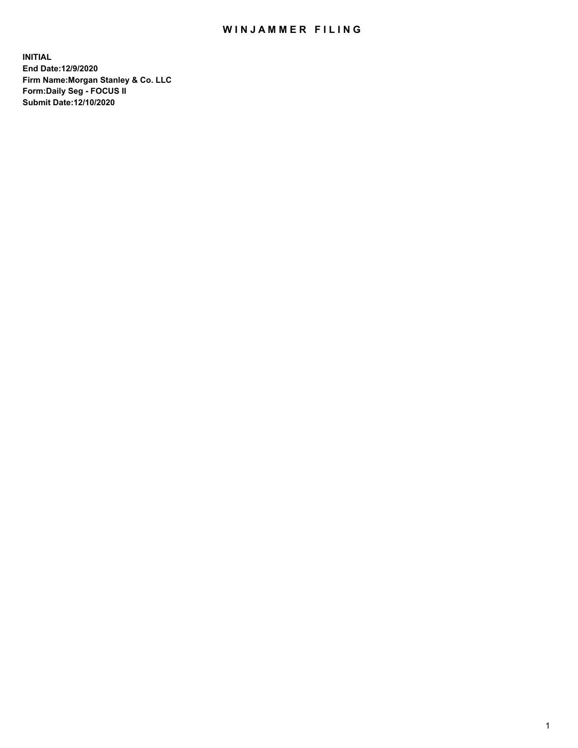## WIN JAMMER FILING

**INITIAL End Date:12/9/2020 Firm Name:Morgan Stanley & Co. LLC Form:Daily Seg - FOCUS II Submit Date:12/10/2020**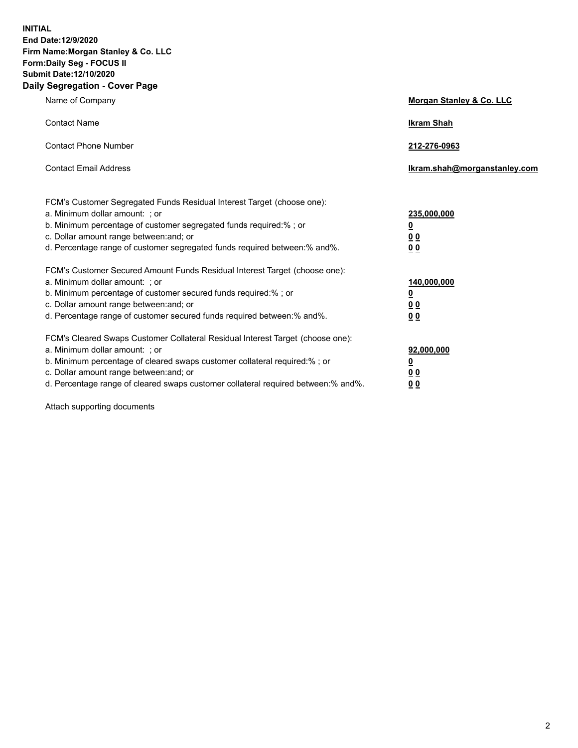**INITIAL End Date:12/9/2020 Firm Name:Morgan Stanley & Co. LLC Form:Daily Seg - FOCUS II Submit Date:12/10/2020 Daily Segregation - Cover Page**

| Name of Company                                                                                                                                                                                                                                                                                                                | <b>Morgan Stanley &amp; Co. LLC</b>                    |
|--------------------------------------------------------------------------------------------------------------------------------------------------------------------------------------------------------------------------------------------------------------------------------------------------------------------------------|--------------------------------------------------------|
| <b>Contact Name</b>                                                                                                                                                                                                                                                                                                            | <b>Ikram Shah</b>                                      |
| <b>Contact Phone Number</b>                                                                                                                                                                                                                                                                                                    | 212-276-0963                                           |
| <b>Contact Email Address</b>                                                                                                                                                                                                                                                                                                   | Ikram.shah@morganstanley.com                           |
| FCM's Customer Segregated Funds Residual Interest Target (choose one):<br>a. Minimum dollar amount: ; or<br>b. Minimum percentage of customer segregated funds required:% ; or<br>c. Dollar amount range between: and; or<br>d. Percentage range of customer segregated funds required between:% and%.                         | 235,000,000<br><u>0</u><br>0 Q<br>0 Q                  |
| FCM's Customer Secured Amount Funds Residual Interest Target (choose one):<br>a. Minimum dollar amount: ; or<br>b. Minimum percentage of customer secured funds required:% ; or<br>c. Dollar amount range between: and; or<br>d. Percentage range of customer secured funds required between: % and %.                         | 140,000,000<br><u>0</u><br><u>00</u><br>0 <sub>0</sub> |
| FCM's Cleared Swaps Customer Collateral Residual Interest Target (choose one):<br>a. Minimum dollar amount: ; or<br>b. Minimum percentage of cleared swaps customer collateral required:% ; or<br>c. Dollar amount range between: and; or<br>d. Percentage range of cleared swaps customer collateral required between:% and%. | 92,000,000<br><u>0</u><br>0 Q<br>00                    |

Attach supporting documents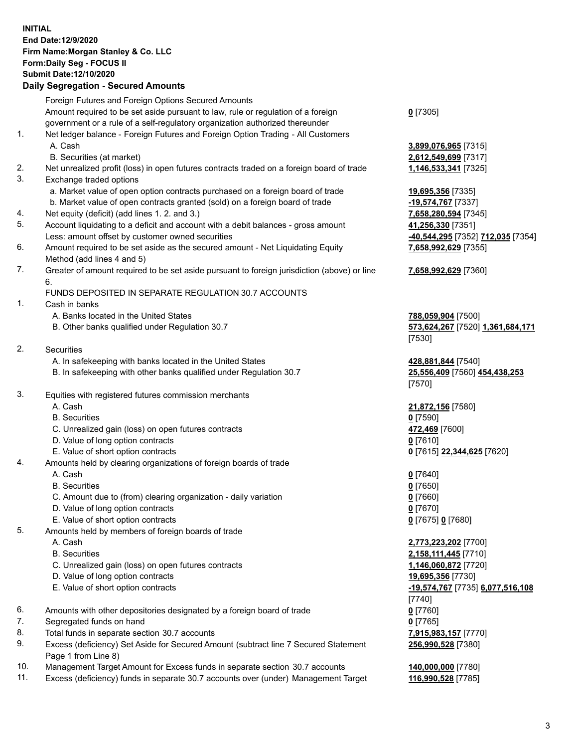## **INITIAL End Date:12/9/2020 Firm Name:Morgan Stanley & Co. LLC Form:Daily Seg - FOCUS II Submit Date:12/10/2020**

## **Daily Segregation - Secured Amounts**

Foreign Futures and Foreign Options Secured Amounts Amount required to be set aside pursuant to law, rule or regulation of a foreign government or a rule of a self-regulatory organization authorized thereunder **0** [7305] 1. Net ledger balance - Foreign Futures and Foreign Option Trading - All Customers A. Cash **3,899,076,965** [7315] B. Securities (at market) **2,612,549,699** [7317] 2. Net unrealized profit (loss) in open futures contracts traded on a foreign board of trade **1,146,533,341** [7325] 3. Exchange traded options a. Market value of open option contracts purchased on a foreign board of trade **19,695,356** [7335] b. Market value of open contracts granted (sold) on a foreign board of trade **-19,574,767** [7337] 4. Net equity (deficit) (add lines 1. 2. and 3.) **7,658,280,594** [7345] 5. Account liquidating to a deficit and account with a debit balances - gross amount **41,256,330** [7351] Less: amount offset by customer owned securities **-40,544,295** [7352] **712,035** [7354] 6. Amount required to be set aside as the secured amount - Net Liquidating Equity Method (add lines 4 and 5) 7. Greater of amount required to be set aside pursuant to foreign jurisdiction (above) or line 6. FUNDS DEPOSITED IN SEPARATE REGULATION 30.7 ACCOUNTS 1. Cash in banks A. Banks located in the United States **788,059,904** [7500] B. Other banks qualified under Regulation 30.7 **573,624,267** [7520] **1,361,684,171** [7530] 2. Securities A. In safekeeping with banks located in the United States **428,881,844** [7540] B. In safekeeping with other banks qualified under Regulation 30.7 **25,556,409** [7560] **454,438,253** [7570] 3. Equities with registered futures commission merchants A. Cash **21,872,156** [7580] B. Securities **0** [7590] C. Unrealized gain (loss) on open futures contracts **472,469** [7600] D. Value of long option contracts **0** [7610] E. Value of short option contracts **0** [7615] **22,344,625** [7620] 4. Amounts held by clearing organizations of foreign boards of trade A. Cash **0** [7640] B. Securities **0** [7650] C. Amount due to (from) clearing organization - daily variation **0** [7660] D. Value of long option contracts **0** [7670] E. Value of short option contracts **0** [7675] **0** [7680] 5. Amounts held by members of foreign boards of trade A. Cash **2,773,223,202** [7700] B. Securities **2,158,111,445** [7710] C. Unrealized gain (loss) on open futures contracts **1,146,060,872** [7720] D. Value of long option contracts **19,695,356** [7730] E. Value of short option contracts **-19,574,767** [7735] **6,077,516,108** [7740] 6. Amounts with other depositories designated by a foreign board of trade **0** [7760] 7. Segregated funds on hand **0** [7765] 8. Total funds in separate section 30.7 accounts **7,915,983,157** [7770] 9. Excess (deficiency) Set Aside for Secured Amount (subtract line 7 Secured Statement Page 1 from Line 8)

- 10. Management Target Amount for Excess funds in separate section 30.7 accounts **140,000,000** [7780]
- 11. Excess (deficiency) funds in separate 30.7 accounts over (under) Management Target **116,990,528** [7785]

**7,658,992,629** [7355]

## **7,658,992,629** [7360]

**256,990,528** [7380]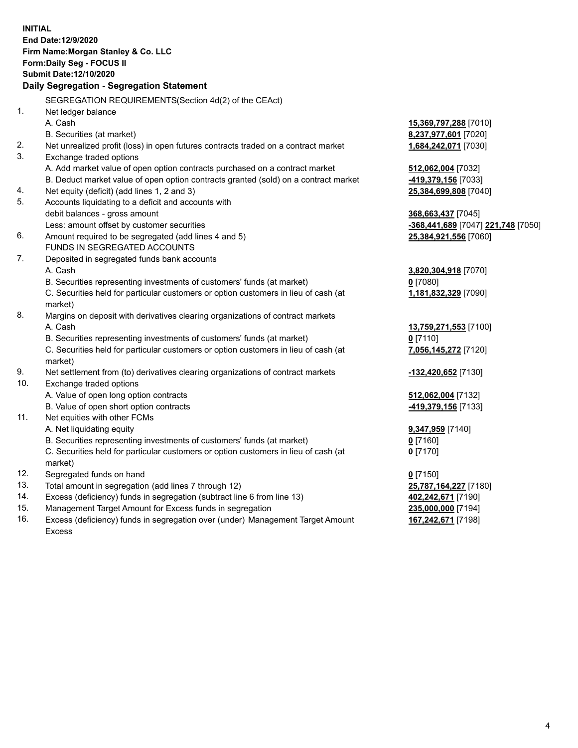|     | <b>INITIAL</b>                                                                                 |                                    |
|-----|------------------------------------------------------------------------------------------------|------------------------------------|
|     | End Date:12/9/2020                                                                             |                                    |
|     | Firm Name: Morgan Stanley & Co. LLC                                                            |                                    |
|     | Form: Daily Seg - FOCUS II                                                                     |                                    |
|     | Submit Date: 12/10/2020                                                                        |                                    |
|     | Daily Segregation - Segregation Statement                                                      |                                    |
|     | SEGREGATION REQUIREMENTS(Section 4d(2) of the CEAct)                                           |                                    |
| 1.  | Net ledger balance                                                                             |                                    |
|     | A. Cash                                                                                        | 15,369,797,288 [7010]              |
|     | B. Securities (at market)                                                                      | 8,237,977,601 [7020]               |
| 2.  | Net unrealized profit (loss) in open futures contracts traded on a contract market             | 1,684,242,071 [7030]               |
| 3.  | Exchange traded options                                                                        |                                    |
|     | A. Add market value of open option contracts purchased on a contract market                    | 512,062,004 [7032]                 |
|     | B. Deduct market value of open option contracts granted (sold) on a contract market            | -419,379,156 [7033]                |
| 4.  | Net equity (deficit) (add lines 1, 2 and 3)                                                    | 25,384,699,808 [7040]              |
| 5.  | Accounts liquidating to a deficit and accounts with                                            |                                    |
|     | debit balances - gross amount                                                                  | 368,663,437 [7045]                 |
|     | Less: amount offset by customer securities                                                     | -368,441,689 [7047] 221,748 [7050] |
| 6.  | Amount required to be segregated (add lines 4 and 5)                                           | 25,384,921,556 [7060]              |
|     | FUNDS IN SEGREGATED ACCOUNTS                                                                   |                                    |
| 7.  | Deposited in segregated funds bank accounts                                                    |                                    |
|     | A. Cash                                                                                        | 3,820,304,918 [7070]               |
|     | B. Securities representing investments of customers' funds (at market)                         | $0$ [7080]                         |
|     | C. Securities held for particular customers or option customers in lieu of cash (at            | 1,181,832,329 [7090]               |
|     | market)                                                                                        |                                    |
| 8.  | Margins on deposit with derivatives clearing organizations of contract markets                 |                                    |
|     | A. Cash                                                                                        | 13,759,271,553 [7100]              |
|     | B. Securities representing investments of customers' funds (at market)                         | $0$ [7110]                         |
|     | C. Securities held for particular customers or option customers in lieu of cash (at<br>market) | 7,056,145,272 [7120]               |
| 9.  | Net settlement from (to) derivatives clearing organizations of contract markets                | -132,420,652 [7130]                |
| 10. | Exchange traded options                                                                        |                                    |
|     | A. Value of open long option contracts                                                         | 512,062,004 [7132]                 |
|     | B. Value of open short option contracts                                                        | -419,379,156 [7133]                |
| 11. | Net equities with other FCMs                                                                   |                                    |
|     | A. Net liquidating equity                                                                      | 9,347,959 [7140]                   |
|     | B. Securities representing investments of customers' funds (at market)                         | $0$ [7160]                         |
|     | C. Securities held for particular customers or option customers in lieu of cash (at            | $0$ [7170]                         |
|     | market)                                                                                        |                                    |
| 12. | Segregated funds on hand                                                                       | $0$ [7150]                         |
| 13. | Total amount in segregation (add lines 7 through 12)                                           | 25,787,164,227 [7180]              |
| 14. | Excess (deficiency) funds in segregation (subtract line 6 from line 13)                        | 402,242,671 [7190]                 |
| 15. | Management Target Amount for Excess funds in segregation                                       | 235,000,000 [7194]                 |
| 16. | Excess (deficiency) funds in segregation over (under) Management Target Amount                 | 167,242,671 [7198]                 |

16. Excess (deficiency) funds in segregation over (under) Management Target Amount Excess